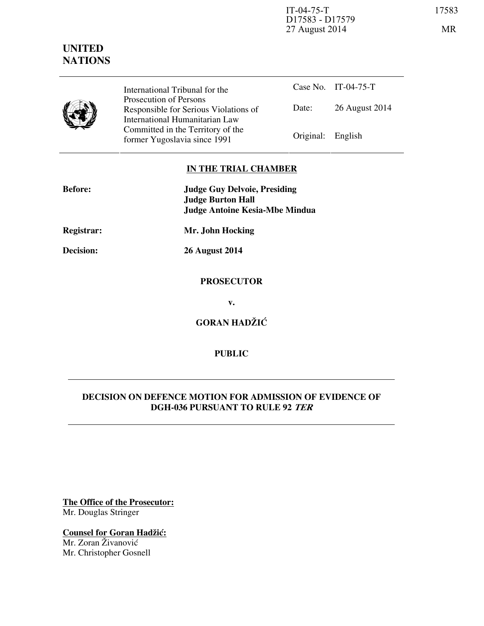IT-04-75-T 17583 D17583 - D17579 27 August 2014 MR

# **UNITED NATIONS**



International Tribunal for the Prosecution of Persons Responsible for Serious Violations of International Humanitarian Law Committed in the Territory of the Former Yugoslavia since 1991 Original: English

Case No. IT-04-75-T Date: 26 August 2014

## **IN THE TRIAL CHAMBER**

| <b>Before:</b>    | <b>Judge Guy Delvoie, Presiding</b><br><b>Judge Burton Hall</b><br><b>Judge Antoine Kesia-Mbe Mindua</b> |
|-------------------|----------------------------------------------------------------------------------------------------------|
| <b>Registrar:</b> | Mr. John Hocking                                                                                         |
| Decision:         | <b>26 August 2014</b>                                                                                    |
|                   | <b>PROSECUTOR</b>                                                                                        |
|                   | v.                                                                                                       |
|                   | <b>GORAN HADŽIĆ</b>                                                                                      |

## **PUBLIC**

### **DECISION ON DEFENCE MOTION FOR ADMISSION OF EVIDENCE OF DGH-036 PURSUANT TO RULE 92 TER**

**The Office of the Prosecutor:** Mr. Douglas Stringer

**Counsel for Goran Hadžić:** Mr. Zoran Živanović Mr. Christopher Gosnell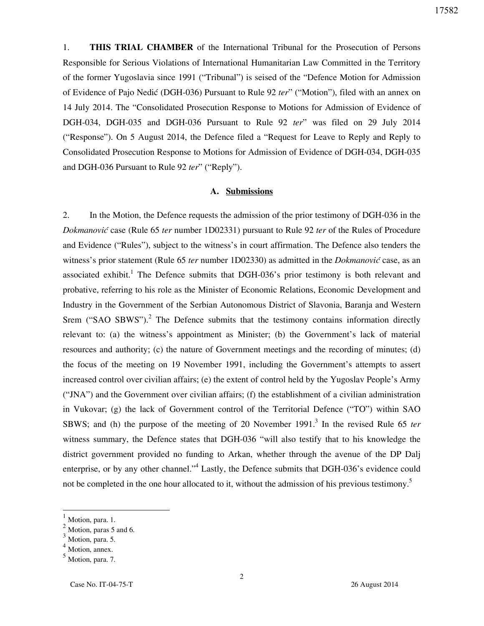1. **THIS TRIAL CHAMBER** of the International Tribunal for the Prosecution of Persons Responsible for Serious Violations of International Humanitarian Law Committed in the Territory of the former Yugoslavia since 1991 ("Tribunal") is seised of the "Defence Motion for Admission of Evidence of Pajo Nedi} (DGH-036) Pursuant to Rule 92 *ter*" ("Motion"), filed with an annex on 14 July 2014. The "Consolidated Prosecution Response to Motions for Admission of Evidence of DGH-034, DGH-035 and DGH-036 Pursuant to Rule 92 *ter*" was filed on 29 July 2014 ("Response"). On 5 August 2014, the Defence filed a "Request for Leave to Reply and Reply to Consolidated Prosecution Response to Motions for Admission of Evidence of DGH-034, DGH-035 and DGH-036 Pursuant to Rule 92 *ter*" ("Reply").

#### **A. Submissions**

2. In the Motion, the Defence requests the admission of the prior testimony of DGH-036 in the *Dokmanovi}* case (Rule 65 *ter* number 1D02331) pursuant to Rule 92 *ter* of the Rules of Procedure and Evidence ("Rules"), subject to the witness's in court affirmation. The Defence also tenders the witness's prior statement (Rule 65 *ter* number 1D02330) as admitted in the *Dokmanović* case, as an associated exhibit.<sup>1</sup> The Defence submits that DGH-036's prior testimony is both relevant and probative, referring to his role as the Minister of Economic Relations, Economic Development and Industry in the Government of the Serbian Autonomous District of Slavonia, Baranja and Western Srem ("SAO SBWS").<sup>2</sup> The Defence submits that the testimony contains information directly relevant to: (a) the witness's appointment as Minister; (b) the Government's lack of material resources and authority; (c) the nature of Government meetings and the recording of minutes; (d) the focus of the meeting on 19 November 1991, including the Government's attempts to assert increased control over civilian affairs; (e) the extent of control held by the Yugoslav People's Army ("JNA") and the Government over civilian affairs; (f) the establishment of a civilian administration in Vukovar; (g) the lack of Government control of the Territorial Defence ("TO") within SAO SBWS; and (h) the purpose of the meeting of 20 November 1991.<sup>3</sup> In the revised Rule 65 *ter* witness summary, the Defence states that DGH-036 "will also testify that to his knowledge the district government provided no funding to Arkan, whether through the avenue of the DP Dalj enterprise, or by any other channel."<sup>4</sup> Lastly, the Defence submits that DGH-036's evidence could not be completed in the one hour allocated to it, without the admission of his previous testimony.<sup>5</sup>

 $\overline{a}$ 

 $\frac{1}{2}$  Motion, para. 1.

 $\frac{2}{3}$  Motion, paras 5 and 6.

Motion, para. 5.

Motion, annex.

<sup>5</sup> Motion, para. 7.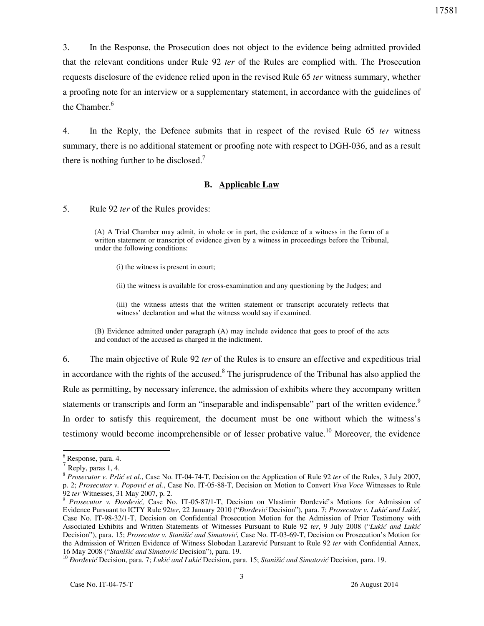3. In the Response, the Prosecution does not object to the evidence being admitted provided that the relevant conditions under Rule 92 *ter* of the Rules are complied with. The Prosecution requests disclosure of the evidence relied upon in the revised Rule 65 *ter* witness summary, whether a proofing note for an interview or a supplementary statement, in accordance with the guidelines of the Chamber. $<sup>6</sup>$ </sup>

4. In the Reply, the Defence submits that in respect of the revised Rule 65 *ter* witness summary, there is no additional statement or proofing note with respect to DGH-036, and as a result there is nothing further to be disclosed.<sup>7</sup>

#### **B. Applicable Law**

5. Rule 92 *ter* of the Rules provides:

(A) A Trial Chamber may admit, in whole or in part, the evidence of a witness in the form of a written statement or transcript of evidence given by a witness in proceedings before the Tribunal, under the following conditions:

(i) the witness is present in court;

(ii) the witness is available for cross-examination and any questioning by the Judges; and

(iii) the witness attests that the written statement or transcript accurately reflects that witness' declaration and what the witness would say if examined.

(B) Evidence admitted under paragraph (A) may include evidence that goes to proof of the acts and conduct of the accused as charged in the indictment.

6. The main objective of Rule 92 *ter* of the Rules is to ensure an effective and expeditious trial in accordance with the rights of the accused.<sup>8</sup> The jurisprudence of the Tribunal has also applied the Rule as permitting, by necessary inference, the admission of exhibits where they accompany written statements or transcripts and form an "inseparable and indispensable" part of the written evidence.<sup>9</sup> In order to satisfy this requirement, the document must be one without which the witness's testimony would become incomprehensible or of lesser probative value.<sup>10</sup> Moreover, the evidence

 $\overline{a}$ 

<sup>6</sup> Response, para. 4.

 $^7$  Reply, paras 1, 4.

<sup>&</sup>lt;sup>8</sup> Prosecutor v. Prlić et al., Case No. IT-04-74-T, Decision on the Application of Rule 92 *ter* of the Rules, 3 July 2007, p. 2; Prosecutor v. Popović et al., Case No. IT-05-88-T, Decision on Motion to Convert Viva Voce Witnesses to Rule 92 *ter* Witnesses, 31 May 2007, p. 2.

<sup>&</sup>lt;sup>9</sup> Prosecutor v. Đorđević, Case No. IT-05-87/1-T, Decision on Vlastimir Đorđević's Motions for Admission of Evidence Pursuant to ICTY Rule 92ter, 22 January 2010 ("*Đorđević* Decision"), para. 7; Prosecutor v. Lukić and Lukić, Case No. IT-98-32/1-T, Decision on Confidential Prosecution Motion for the Admission of Prior Testimony with Associated Exhibits and Written Statements of Witnesses Pursuant to Rule 92 ter, 9 July 2008 ("Lukić and Lukić Decision"), para. 15; *Prosecutor v. Stanišić and Simatović*, Case No. IT-03-69-T, Decision on Prosecution's Motion for the Admission of Written Evidence of Witness Slobodan Lazarević Pursuant to Rule 92 *ter* with Confidential Annex, 16 May 2008 ("*Stanišić and Simatović* Decision"), para. 19.

<sup>&</sup>lt;sup>10</sup> *Đorđević* Decision, para. 7; *Lukić and Lukić* Decision, para. 15; *Stanišić and Simatović* Decision, para. 19.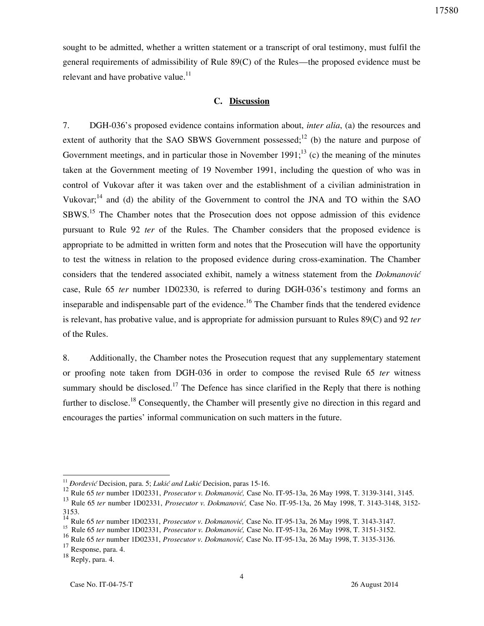sought to be admitted, whether a written statement or a transcript of oral testimony, must fulfil the general requirements of admissibility of Rule 89(C) of the Rules—the proposed evidence must be relevant and have probative value.<sup>11</sup>

#### **C. Discussion**

7. DGH-036's proposed evidence contains information about, *inter alia*, (a) the resources and extent of authority that the SAO SBWS Government possessed;<sup>12</sup> (b) the nature and purpose of Government meetings, and in particular those in November 1991;<sup>13</sup> (c) the meaning of the minutes taken at the Government meeting of 19 November 1991, including the question of who was in control of Vukovar after it was taken over and the establishment of a civilian administration in Vukovar;<sup>14</sup> and (d) the ability of the Government to control the JNA and TO within the SAO SBWS.<sup>15</sup> The Chamber notes that the Prosecution does not oppose admission of this evidence pursuant to Rule 92 *ter* of the Rules. The Chamber considers that the proposed evidence is appropriate to be admitted in written form and notes that the Prosecution will have the opportunity to test the witness in relation to the proposed evidence during cross-examination. The Chamber considers that the tendered associated exhibit, namely a witness statement from the *Dokmanović* case, Rule 65 *ter* number 1D02330, is referred to during DGH-036's testimony and forms an inseparable and indispensable part of the evidence.<sup>16</sup> The Chamber finds that the tendered evidence is relevant, has probative value, and is appropriate for admission pursuant to Rules 89(C) and 92 *ter* of the Rules.

8. Additionally, the Chamber notes the Prosecution request that any supplementary statement or proofing note taken from DGH-036 in order to compose the revised Rule 65 *ter* witness summary should be disclosed.<sup>17</sup> The Defence has since clarified in the Reply that there is nothing further to disclose.<sup>18</sup> Consequently, the Chamber will presently give no direction in this regard and encourages the parties' informal communication on such matters in the future.

 $\overline{a}$ 

<sup>&</sup>lt;sup>11</sup> *Đorđević* Decision, para. 5; *Lukić and Lukić* Decision, paras 15-16.

<sup>12</sup> Rule 65 *ter* number 1D02331, *Prosecutor v. Dokmanović*, Case No. IT-95-13a, 26 May 1998, T. 3139-3141, 3145.

<sup>&</sup>lt;sup>13</sup> Rule 65 *ter* number 1D02331, *Prosecutor v. Dokmanović*, Case No. IT-95-13a, 26 May 1998, T. 3143-3148, 3152-3153.

<sup>14</sup> Rule 65 *ter* number 1D02331, *Prosecutor v. Dokmanović*, Case No. IT-95-13a, 26 May 1998, T. 3143-3147.

<sup>15</sup> Rule 65 *ter* number 1D02331, *Prosecutor v. Dokmanović*, Case No. IT-95-13a, 26 May 1998, T. 3151-3152.

<sup>16</sup> Rule 65 *ter* number 1D02331, *Prosecutor v. Dokmanović*, Case No. IT-95-13a, 26 May 1998, T. 3135-3136.

<sup>17</sup> Response, para. 4.

<sup>18</sup> Reply, para. 4.